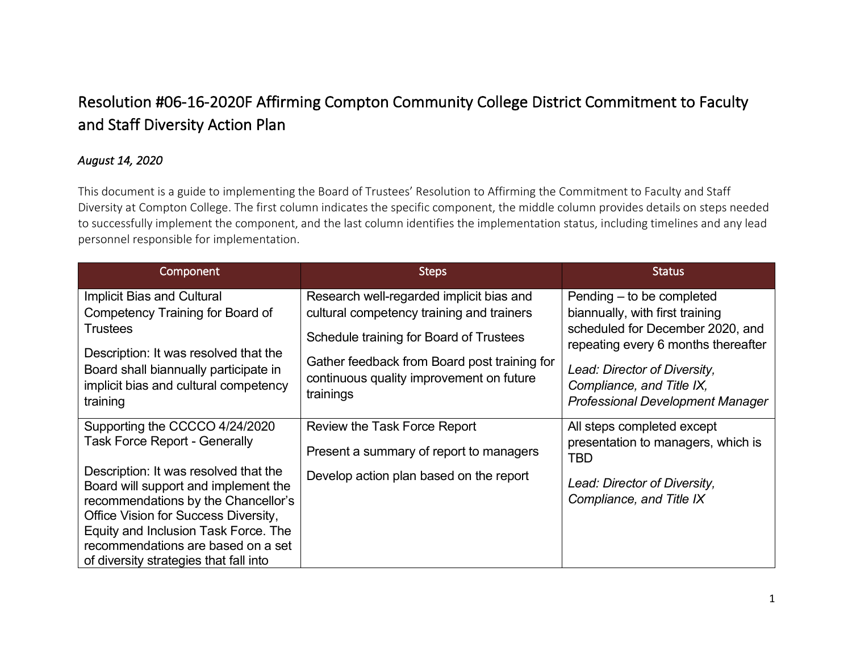## Resolution #06-16-2020F Affirming Compton Community College District Commitment to Faculty and Staff Diversity Action Plan

## *August 14, 2020*

This document is a guide to implementing the Board of Trustees' Resolution to Affirming the Commitment to Faculty and Staff Diversity at Compton College. The first column indicates the specific component, the middle column provides details on steps needed to successfully implement the component, and the last column identifies the implementation status, including timelines and any lead personnel responsible for implementation.

| Component                                                                                                                                                                                                                                                                            | <b>Steps</b>                                                                                                                                                                                                                              | <b>Status</b>                                                                                                                                                                                                                                   |
|--------------------------------------------------------------------------------------------------------------------------------------------------------------------------------------------------------------------------------------------------------------------------------------|-------------------------------------------------------------------------------------------------------------------------------------------------------------------------------------------------------------------------------------------|-------------------------------------------------------------------------------------------------------------------------------------------------------------------------------------------------------------------------------------------------|
| Implicit Bias and Cultural<br>Competency Training for Board of<br>Trustees<br>Description: It was resolved that the<br>Board shall biannually participate in<br>implicit bias and cultural competency<br>training                                                                    | Research well-regarded implicit bias and<br>cultural competency training and trainers<br>Schedule training for Board of Trustees<br>Gather feedback from Board post training for<br>continuous quality improvement on future<br>trainings | Pending – to be completed<br>biannually, with first training<br>scheduled for December 2020, and<br>repeating every 6 months thereafter<br>Lead: Director of Diversity,<br>Compliance, and Title IX,<br><b>Professional Development Manager</b> |
| Supporting the CCCCO 4/24/2020<br><b>Task Force Report - Generally</b>                                                                                                                                                                                                               | Review the Task Force Report<br>Present a summary of report to managers                                                                                                                                                                   | All steps completed except<br>presentation to managers, which is<br><b>TBD</b>                                                                                                                                                                  |
| Description: It was resolved that the<br>Board will support and implement the<br>recommendations by the Chancellor's<br>Office Vision for Success Diversity,<br>Equity and Inclusion Task Force. The<br>recommendations are based on a set<br>of diversity strategies that fall into | Develop action plan based on the report                                                                                                                                                                                                   | Lead: Director of Diversity,<br>Compliance, and Title IX                                                                                                                                                                                        |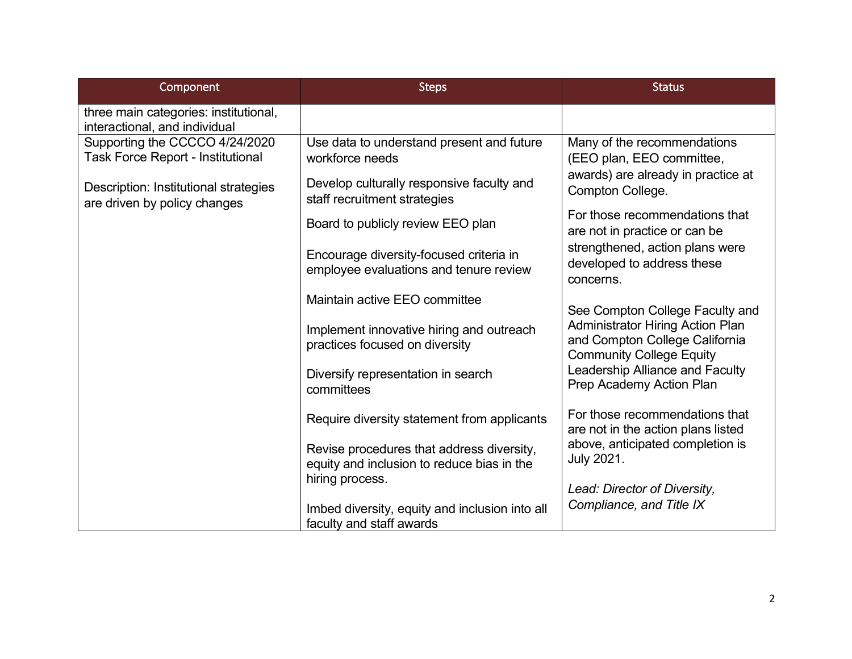| Component                                                                  | <b>Steps</b>                                                                            | <b>Status</b>                                                                                                |
|----------------------------------------------------------------------------|-----------------------------------------------------------------------------------------|--------------------------------------------------------------------------------------------------------------|
| three main categories: institutional,<br>interactional, and individual     |                                                                                         |                                                                                                              |
| Supporting the CCCCO 4/24/2020<br><b>Task Force Report - Institutional</b> | Use data to understand present and future<br>workforce needs                            | Many of the recommendations<br>(EEO plan, EEO committee,                                                     |
| Description: Institutional strategies<br>are driven by policy changes      | Develop culturally responsive faculty and<br>staff recruitment strategies               | awards) are already in practice at<br>Compton College.                                                       |
|                                                                            | Board to publicly review EEO plan                                                       | For those recommendations that<br>are not in practice or can be                                              |
|                                                                            | Encourage diversity-focused criteria in<br>employee evaluations and tenure review       | strengthened, action plans were<br>developed to address these<br>concerns.                                   |
|                                                                            | Maintain active EEO committee                                                           | See Compton College Faculty and                                                                              |
|                                                                            | Implement innovative hiring and outreach<br>practices focused on diversity              | <b>Administrator Hiring Action Plan</b><br>and Compton College California<br><b>Community College Equity</b> |
|                                                                            | Diversify representation in search<br>committees                                        | Leadership Alliance and Faculty<br>Prep Academy Action Plan                                                  |
|                                                                            | Require diversity statement from applicants                                             | For those recommendations that<br>are not in the action plans listed                                         |
|                                                                            | Revise procedures that address diversity,<br>equity and inclusion to reduce bias in the | above, anticipated completion is<br><b>July 2021.</b>                                                        |
|                                                                            | hiring process.                                                                         | Lead: Director of Diversity,                                                                                 |
|                                                                            | Imbed diversity, equity and inclusion into all<br>faculty and staff awards              | Compliance, and Title IX                                                                                     |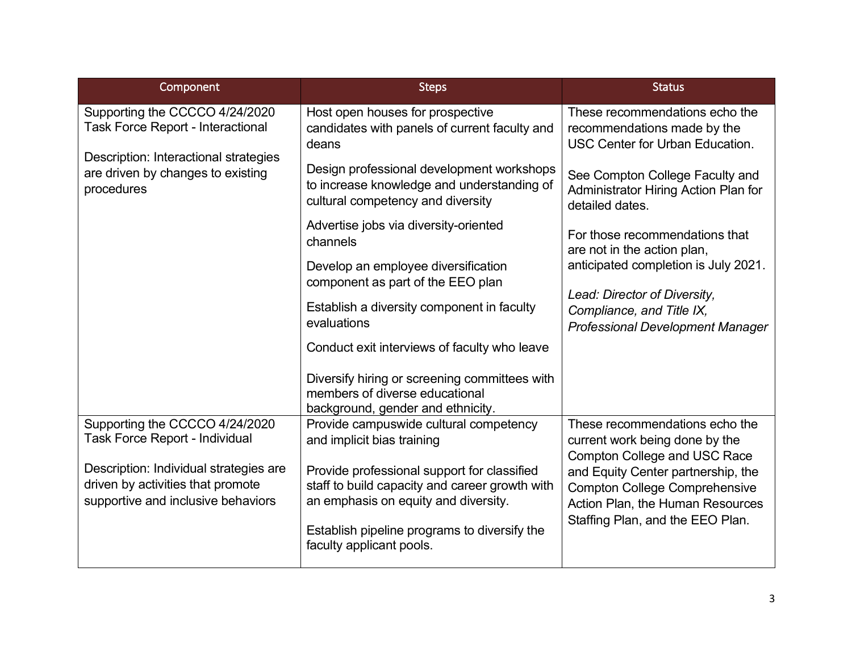| Component                                                                                                                                                              | <b>Steps</b>                                                                                                                 | <b>Status</b>                                                                                                |
|------------------------------------------------------------------------------------------------------------------------------------------------------------------------|------------------------------------------------------------------------------------------------------------------------------|--------------------------------------------------------------------------------------------------------------|
| Supporting the CCCCO 4/24/2020<br><b>Task Force Report - Interactional</b><br>Description: Interactional strategies<br>are driven by changes to existing<br>procedures | Host open houses for prospective<br>candidates with panels of current faculty and<br>deans                                   | These recommendations echo the<br>recommendations made by the<br><b>USC Center for Urban Education.</b>      |
|                                                                                                                                                                        | Design professional development workshops<br>to increase knowledge and understanding of<br>cultural competency and diversity | See Compton College Faculty and<br>Administrator Hiring Action Plan for<br>detailed dates.                   |
|                                                                                                                                                                        | Advertise jobs via diversity-oriented<br>channels                                                                            | For those recommendations that<br>are not in the action plan,                                                |
|                                                                                                                                                                        | Develop an employee diversification<br>component as part of the EEO plan                                                     | anticipated completion is July 2021.                                                                         |
|                                                                                                                                                                        | Establish a diversity component in faculty<br>evaluations                                                                    | Lead: Director of Diversity,<br>Compliance, and Title IX,<br><b>Professional Development Manager</b>         |
|                                                                                                                                                                        | Conduct exit interviews of faculty who leave                                                                                 |                                                                                                              |
|                                                                                                                                                                        | Diversify hiring or screening committees with<br>members of diverse educational<br>background, gender and ethnicity.         |                                                                                                              |
| Supporting the CCCCO 4/24/2020<br><b>Task Force Report - Individual</b>                                                                                                | Provide campuswide cultural competency<br>and implicit bias training                                                         | These recommendations echo the<br>current work being done by the<br>Compton College and USC Race             |
| Description: Individual strategies are                                                                                                                                 | Provide professional support for classified                                                                                  | and Equity Center partnership, the                                                                           |
| driven by activities that promote<br>supportive and inclusive behaviors                                                                                                | staff to build capacity and career growth with<br>an emphasis on equity and diversity.                                       | <b>Compton College Comprehensive</b><br>Action Plan, the Human Resources<br>Staffing Plan, and the EEO Plan. |
|                                                                                                                                                                        | Establish pipeline programs to diversify the<br>faculty applicant pools.                                                     |                                                                                                              |